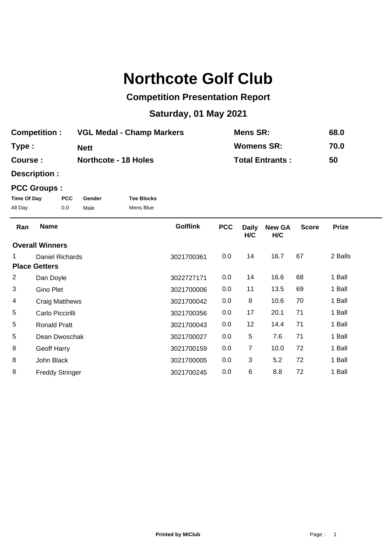## **Northcote Golf Club**

## **Competition Presentation Report**

## **Saturday, 01 May 2021**

| <b>Competition :</b> | <b>VGL Medal - Champ Markers</b> | <b>Mens SR:</b>        | 68.0 |
|----------------------|----------------------------------|------------------------|------|
| Type :               | <b>Nett</b>                      | <b>Womens SR:</b>      | 70.0 |
| <b>Course :</b>      | <b>Northcote - 18 Holes</b>      | <b>Total Entrants:</b> | 50   |

**Description :**

## **PCC Groups :**

| Time Of Day | <b>PCC</b> | Gender | <b>Tee Blocks</b> |
|-------------|------------|--------|-------------------|
| All Day     | 0.0        | Male   | Mens Blue         |

| Ran            | <b>Name</b>            | <b>Golflink</b> | <b>PCC</b> | <b>Daily</b><br>H/C | <b>New GA</b><br>H/C | <b>Score</b> | <b>Prize</b> |  |
|----------------|------------------------|-----------------|------------|---------------------|----------------------|--------------|--------------|--|
|                | <b>Overall Winners</b> |                 |            |                     |                      |              |              |  |
|                | Daniel Richards        | 3021700361      | 0.0        | 14                  | 16.7                 | 67           | 2 Balls      |  |
|                | <b>Place Getters</b>   |                 |            |                     |                      |              |              |  |
| $\overline{2}$ | Dan Doyle              | 3022727171      | 0.0        | 14                  | 16.6                 | 68           | 1 Ball       |  |
| 3              | Gino Plet              | 3021700006      | 0.0        | 11                  | 13.5                 | 69           | 1 Ball       |  |
| 4              | <b>Craig Matthews</b>  | 3021700042      | 0.0        | 8                   | 10.6                 | 70           | 1 Ball       |  |
| 5              | Carlo Piccirilli       | 3021700356      | 0.0        | 17                  | 20.1                 | 71           | 1 Ball       |  |
| 5              | <b>Ronald Pratt</b>    | 3021700043      | 0.0        | 12                  | 14.4                 | 71           | 1 Ball       |  |
| 5              | Dean Dwoschak          | 3021700027      | 0.0        | 5                   | 7.6                  | 71           | 1 Ball       |  |
| 8              | Geoff Harry            | 3021700159      | 0.0        | $\overline{7}$      | 10.0                 | 72           | 1 Ball       |  |
| 8              | John Black             | 3021700005      | 0.0        | 3                   | 5.2                  | 72           | 1 Ball       |  |
| 8              | <b>Freddy Stringer</b> | 3021700245      | 0.0        | 6                   | 8.8                  | 72           | 1 Ball       |  |